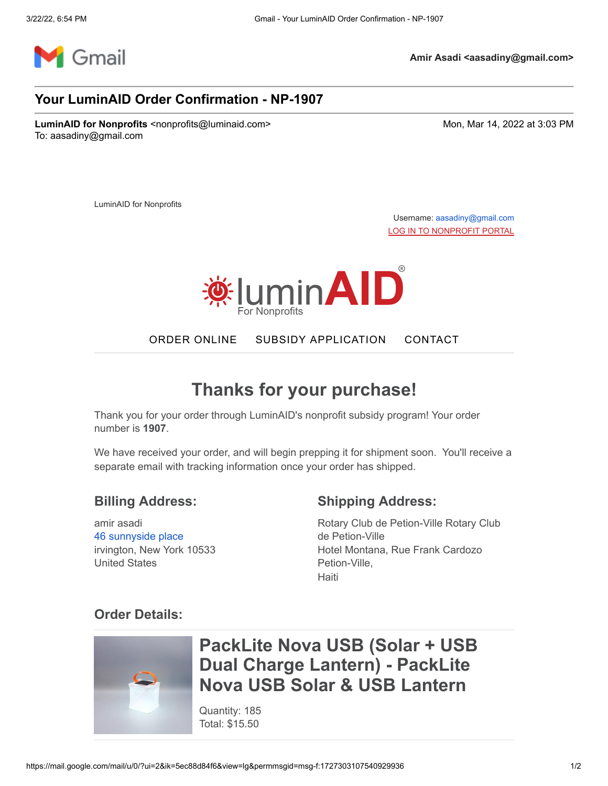

**Amir Asadi <aasadiny@gmail.com>**

#### **Your LuminAID Order Confirmation - NP-1907**

**LuminAID for Nonprofits** <nonprofits@luminaid.com> Monetable 2002 at 3:03 PM To: aasadiny@gmail.com

LuminAID for Nonprofits

Username: [aasadiny@gmail.com](mailto:aasadiny@gmail.com) [LOG IN TO NONPROFIT PORTAL](https://nonprofit.luminaid.com/account/login)



ORDER [ONLINE](http://nonprofit.luminaid.com/) SUBSIDY [APPLICATION](http://luminaid.com/subsidyprogram) [CONTACT](mailto:nonprofits@luminaid.com)

## **Thanks for your purchase!**

Thank you for your order through LuminAID's nonprofit subsidy program! Your order number is **1907**.

We have received your order, and will begin prepping it for shipment soon. You'll receive a separate email with tracking information once your order has shipped.

#### **Billing Address:**

amir asadi [46 sunnyside place](https://www.google.com/maps/search/46+sunnyside+place+%0D%0Airvington,+New+York+10533+%0D%0AUnited+States?entry=gmail&source=g) irvington, New York 10533 United States

#### **Shipping Address:**

Rotary Club de Petion-Ville Rotary Club de Petion-Ville Hotel Montana, Rue Frank Cardozo Petion-Ville, **Haiti** 

### **Order Details:**



### **PackLite Nova USB (Solar + USB Dual Charge Lantern) - PackLite Nova USB Solar & USB Lantern**

Quantity: 185 Total: \$15.50